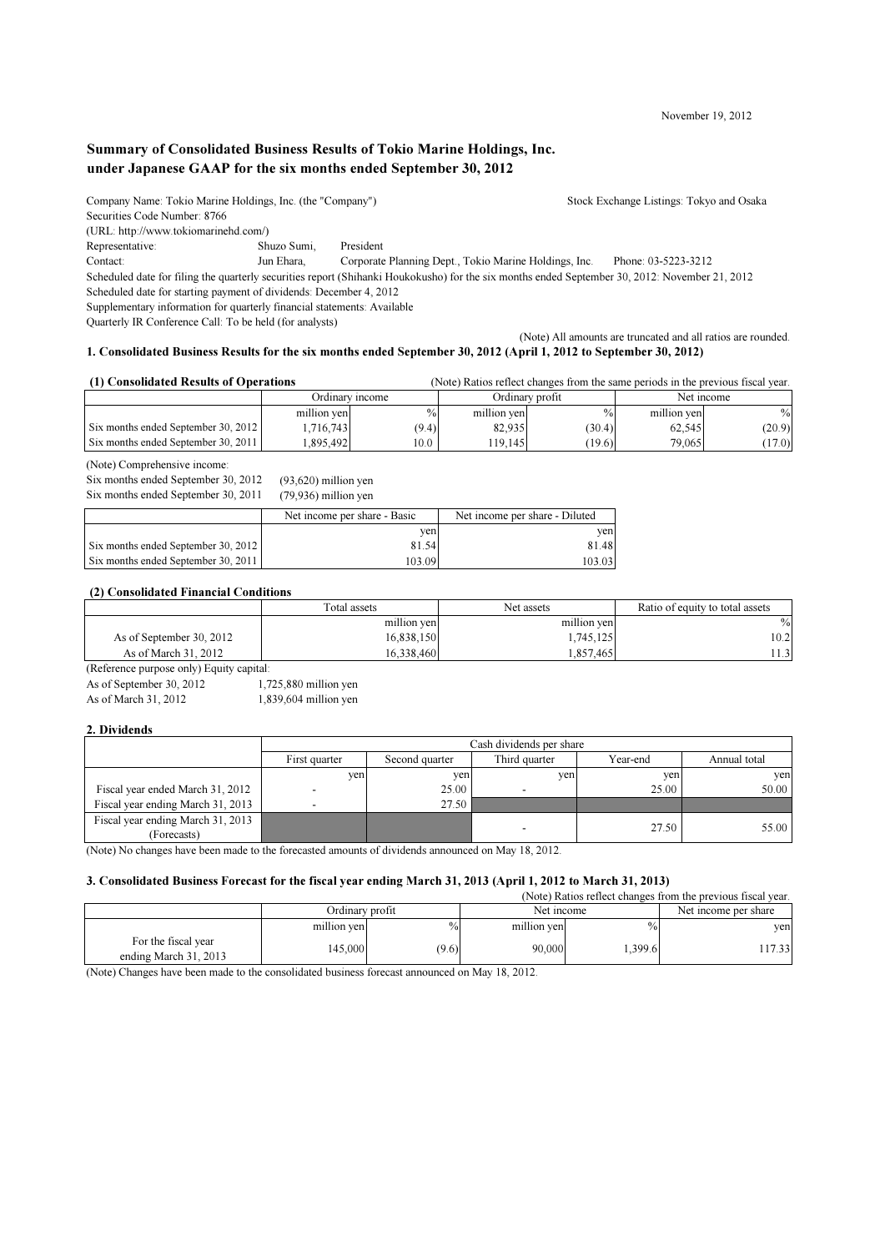November 19, 2012

# Summary of Consolidated Business Results of Tokio Marine Holdings, Inc. under Japanese GAAP for the six months ended September 30, 2012

Company Name: Tokio Marine Holdings, Inc. (the "Company") Stock Exchange Listings: Tokyo and Osaka Securities Code Number: 8766 (URL: http://www.tokiomarinehd.com/) Representative: Shuzo Sumi, President Contact: Jun Ehara, Corporate Planning Dept., Tokio Marine Holdings, Inc. Phone: 03-5223-3212 Scheduled date for filing the quarterly securities report (Shihanki Houkokusho) for the six months ended September 30, 2012: November 21, 2012 Scheduled date for starting payment of dividends: December 4, 2012 Supplementary information for quarterly financial statements: Available Quarterly IR Conference Call: To be held (for analysts)

(Note) All amounts are truncated and all ratios are rounded. 1. Consolidated Business Results for the six months ended September 30, 2012 (April 1, 2012 to September 30, 2012)

#### (1) Consolidated Results of Operations (Note) Ratios reflect changes from the same periods in the previous fiscal year.

| <u>comovimente a cerreiro da crea medid</u> |                 |       |                 |        |             |        |
|---------------------------------------------|-----------------|-------|-----------------|--------|-------------|--------|
|                                             | Ordinary income |       | Ordinary profit |        | Net income  |        |
|                                             | million yen     | $\%$  | million yen     | $\%$   | million yen | $\%$   |
| Six months ended September 30, 2012         | 1.716.743       | (9.4) | 82,935          | (30.4) | 62.545      | (20.9) |
| Six months ended September 30, 2011         | .895.492        | 10.0  | 19.145          | (19.6) | 79.065      | (17.0) |

## (Note) Comprehensive income:

Six months ended September 30, 2012 (93,620) million yen Six months ended September 30, 2011 (79,936) million yen

|                                     | Net income per share - Basic | Net income per share - Diluted |
|-------------------------------------|------------------------------|--------------------------------|
|                                     | ven                          | ven                            |
| Six months ended September 30, 2012 | 81.54                        | 81.48                          |
| Six months ended September 30, 2011 | 103.09                       | 103.03                         |

## (2) Consolidated Financial Conditions

|                          | Total assets | Net assets  | Ratio of equity to total assets |
|--------------------------|--------------|-------------|---------------------------------|
|                          | million yen  | million yen | $\%$                            |
| As of September 30, 2012 | 16,838,150   | .745,125    | 10.2                            |
| As of March 31, 2012     | 16.338.460   | .857.465    | 1.3                             |

(Reference purpose only) Equity capital:

As of September 30, 2012 1,725,880 million yen As of March 31, 2012 1,839,604 million yen

## 2. Dividends

| Cash dividends per share        |       |                          |              |              |  |  |  |
|---------------------------------|-------|--------------------------|--------------|--------------|--|--|--|
| First quarter<br>Second quarter |       | Third quarter            | Year-end     | Annual total |  |  |  |
|                                 |       |                          | yen          | ven          |  |  |  |
|                                 |       |                          | 25.00        | 50.00        |  |  |  |
|                                 | 27.50 |                          |              |              |  |  |  |
|                                 |       | $\overline{\phantom{a}}$ | 27.50        | 55.00        |  |  |  |
|                                 |       | yen                      | ven<br>25.00 | yen          |  |  |  |

(Note) No changes have been made to the forecasted amounts of dividends announced on May 18, 2012.

## 3. Consolidated Business Forecast for the fiscal year ending March 31, 2013 (April 1, 2012 to March 31, 2013)

|                                              |                 |               |             |               | (Note) Ratios reflect changes from the previous fiscal year. |
|----------------------------------------------|-----------------|---------------|-------------|---------------|--------------------------------------------------------------|
|                                              | Ordinary profit |               | Net income  |               | Net income per share                                         |
|                                              | million yen     | $\frac{0}{0}$ | million yen | $\frac{0}{2}$ | yen                                                          |
| For the fiscal year<br>ending March 31, 2013 | 145.000         | (9.6)         | 90,000      | .399.6        | 17.33                                                        |

(Note) Changes have been made to the consolidated business forecast announced on May 18, 2012.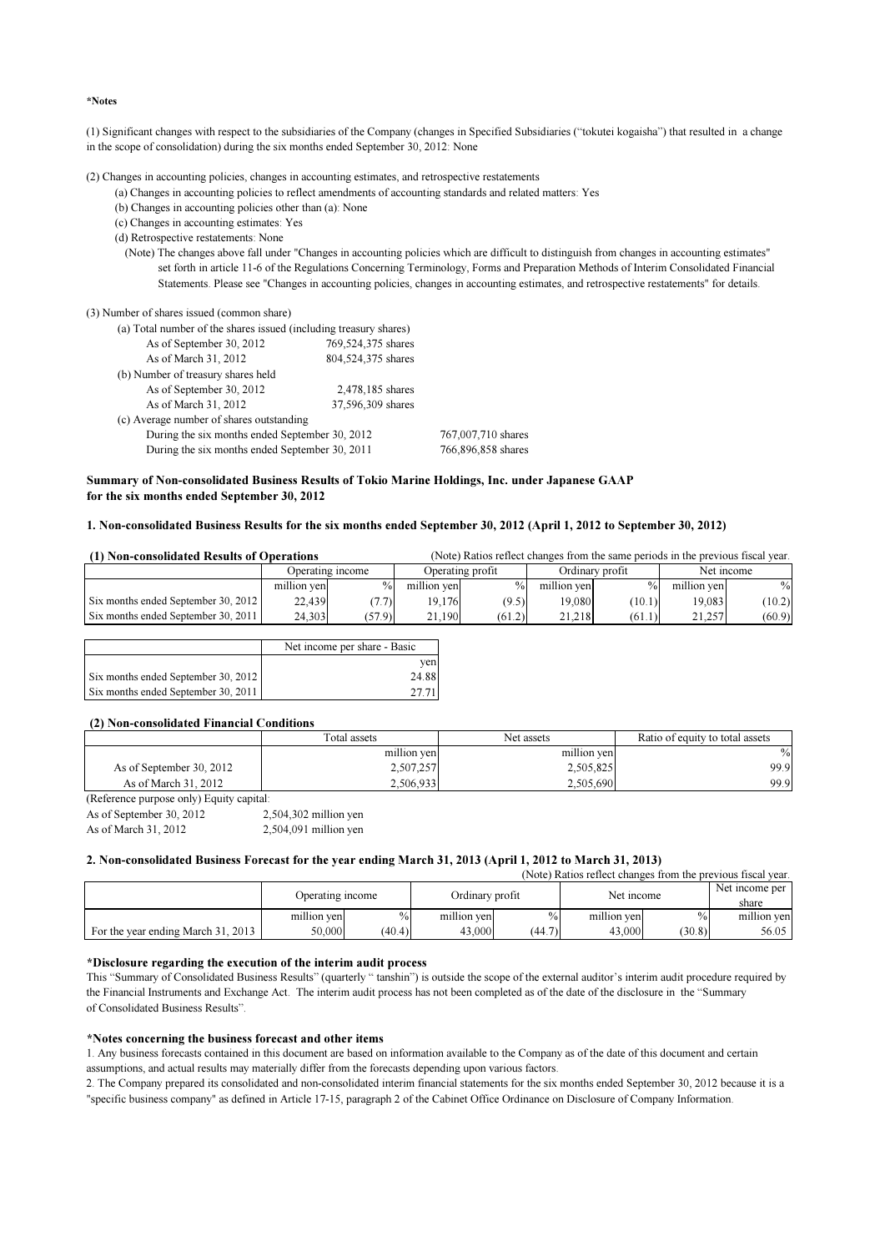\*Notes

(1) Significant changes with respect to the subsidiaries of the Company (changes in Specified Subsidiaries ("tokutei kogaisha") that resulted in a change in the scope of consolidation) during the six months ended September 30, 2012: None

(2) Changes in accounting policies, changes in accounting estimates, and retrospective restatements

(a) Changes in accounting policies to reflect amendments of accounting standards and related matters: Yes

(b) Changes in accounting policies other than (a): None

(c) Changes in accounting estimates: Yes

(d) Retrospective restatements: None

(Note) The changes above fall under "Changes in accounting policies which are difficult to distinguish from changes in accounting estimates" set forth in article 11-6 of the Regulations Concerning Terminology, Forms and Preparation Methods of Interim Consolidated Financial Statements. Please see "Changes in accounting policies, changes in accounting estimates, and retrospective restatements" for details.

(3) Number of shares issued (common share)

|                                          | (a) Total number of the shares issued (including treasury shares) |                    |
|------------------------------------------|-------------------------------------------------------------------|--------------------|
| As of September 30, 2012                 | 769,524,375 shares                                                |                    |
| As of March 31, 2012                     | 804,524,375 shares                                                |                    |
| (b) Number of treasury shares held       |                                                                   |                    |
| As of September 30, 2012                 | 2,478,185 shares                                                  |                    |
| As of March 31, 2012                     | 37,596,309 shares                                                 |                    |
| (c) Average number of shares outstanding |                                                                   |                    |
|                                          | During the six months ended September 30, 2012                    | 767,007,710 shares |
|                                          | During the six months ended September 30, 2011                    | 766,896,858 shares |

## Summary of Non-consolidated Business Results of Tokio Marine Holdings, Inc. under Japanese GAAP for the six months ended September 30, 2012

## 1. Non-consolidated Business Results for the six months ended September 30, 2012 (April 1, 2012 to September 30, 2012)

| (1) Non-consolidated Results of Operations |                                      |               |             |               | (Note) Ratios reflect changes from the same periods in the previous fiscal year. |                 |             |            |
|--------------------------------------------|--------------------------------------|---------------|-------------|---------------|----------------------------------------------------------------------------------|-----------------|-------------|------------|
|                                            | Operating profit<br>Operating income |               |             |               |                                                                                  | Ordinary profit |             | Net income |
|                                            | million ven                          | $\frac{0}{0}$ | million ven | $\frac{0}{0}$ | million ven                                                                      | $^{0}/_{0}$     | million ven | $\%$       |
| Six months ended September 30, 2012        | 22,439                               | (7.7)         | 19.176      | (9.5)         | 19.080                                                                           | (10.1)          | 19.083      | (10.2)     |
| Six months ended September 30, 2011        | 24.303                               | (57.9)        | .190        | (61.2)        | 21.218                                                                           | (61.1)          | 21.257      | (60.9)     |

|                                     | Net income per share - Basic |
|-------------------------------------|------------------------------|
|                                     | ven                          |
| Six months ended September 30, 2012 | 24.88                        |
| Six months ended September 30, 2011 |                              |

## (2) Non-consolidated Financial Conditions

|                          | Total assets | Net assets  | Ratio of equity to total assets |
|--------------------------|--------------|-------------|---------------------------------|
|                          | million yen  | million yen | $\%$                            |
| As of September 30, 2012 | 2,507,257    | 2,505,825   | 99.9                            |
| As of March 31, 2012     | 2,506,933    | 2.505.690   | 99.9                            |

(Reference purpose only) Equity capital: As of September 30, 2012 2,504,302 million yen As of March 31, 2012 2,504,091 million yen

## 2. Non-consolidated Business Forecast for the year ending March 31, 2013 (April 1, 2012 to March 31, 2013)

|                                    |                  |               |                 |        | (Note) Ratios reflect changes from the previous fiscal year. |               |                         |
|------------------------------------|------------------|---------------|-----------------|--------|--------------------------------------------------------------|---------------|-------------------------|
|                                    | Operating income |               | Ordinary profit |        | Net income                                                   |               | Net income per<br>share |
|                                    | million ven      | $\frac{0}{0}$ | million ven     | $\%$   | million ven                                                  | $\frac{0}{0}$ | million ven             |
| For the year ending March 31, 2013 | 50,000           | (40.4)        | 43,000          | (44.7) | 43,000                                                       | (30.8)        | 56.05                   |

## \*Disclosure regarding the execution of the interim audit process

This "Summary of Consolidated Business Results" (quarterly " tanshin") is outside the scope of the external auditor's interim audit procedure required by the Financial Instruments and Exchange Act. The interim audit process has not been completed as of the date of the disclosure in the "Summary of Consolidated Business Results".

## \*Notes concerning the business forecast and other items

1. Any business forecasts contained in this document are based on information available to the Company as of the date of this document and certain assumptions, and actual results may materially differ from the forecasts depending upon various factors.

2. The Company prepared its consolidated and non-consolidated interim financial statements for the six months ended September 30, 2012 because it is a "specific business company" as defined in Article 17-15, paragraph 2 of the Cabinet Office Ordinance on Disclosure of Company Information.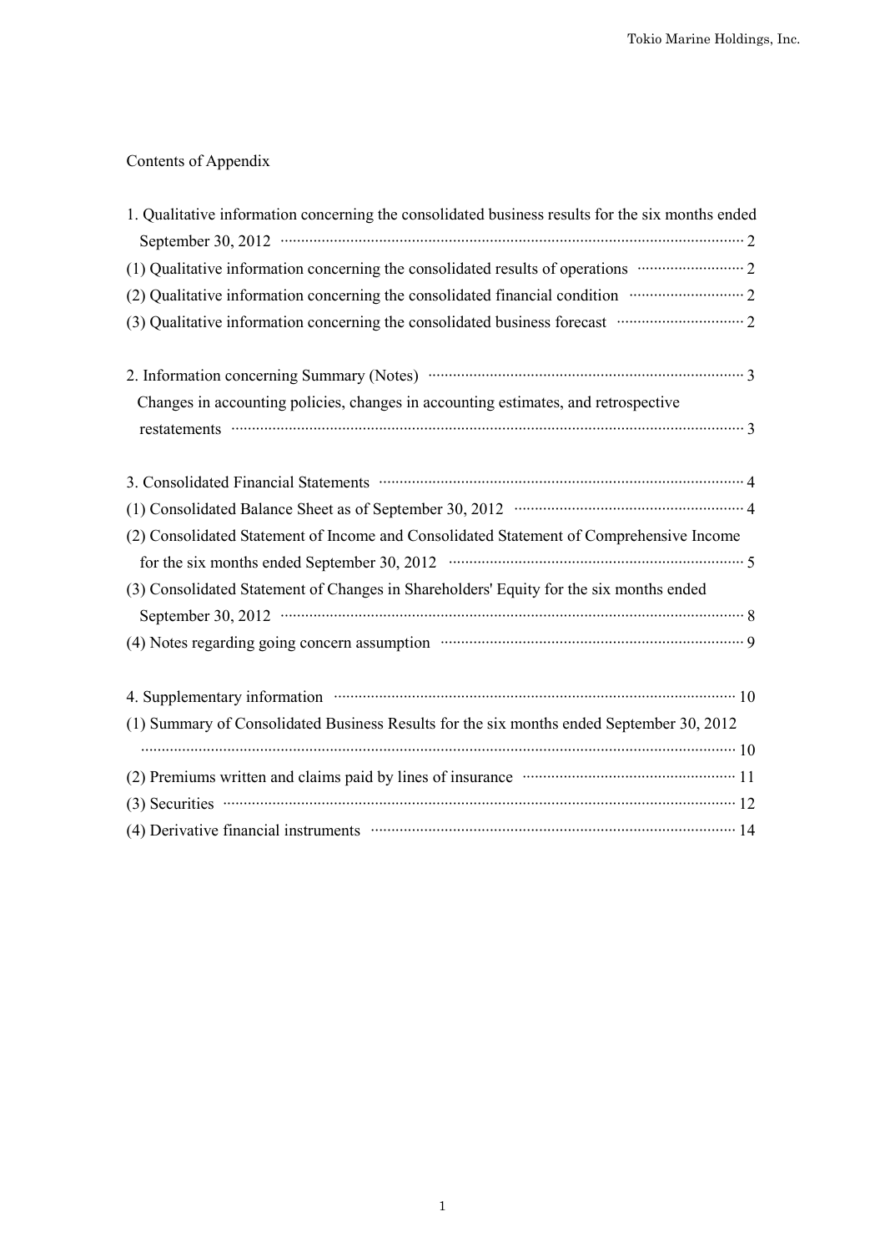# Contents of Appendix

| 1. Qualitative information concerning the consolidated business results for the six months ended                                                                   |
|--------------------------------------------------------------------------------------------------------------------------------------------------------------------|
| September 30, 2012 $\cdots$ $\cdots$ $\cdots$ $\cdots$ $\cdots$ $\cdots$ $\cdots$ $\cdots$ $\cdots$ $\cdots$ $\cdots$ $\cdots$ $\cdots$ $\cdots$ $\cdots$ $\cdots$ |
| (1) Qualitative information concerning the consolidated results of operations manufacture 2                                                                        |
| (2) Qualitative information concerning the consolidated financial condition manufacture 2                                                                          |
| (3) Qualitative information concerning the consolidated business forecast manufacture information concerning the consolidated business forecast manufacture 2      |
|                                                                                                                                                                    |
| Changes in accounting policies, changes in accounting estimates, and retrospective                                                                                 |
|                                                                                                                                                                    |
| 3. Consolidated Financial Statements manufactured and a financial Statements manufactured and a financial Statements                                               |
|                                                                                                                                                                    |
| (2) Consolidated Statement of Income and Consolidated Statement of Comprehensive Income                                                                            |
|                                                                                                                                                                    |
| (3) Consolidated Statement of Changes in Shareholders' Equity for the six months ended                                                                             |
|                                                                                                                                                                    |
| (4) Notes regarding going concern assumption manufactured contains a summary 9                                                                                     |
| 4. Supplementary information manuscrittic contract to the 10                                                                                                       |
| (1) Summary of Consolidated Business Results for the six months ended September 30, 2012                                                                           |
|                                                                                                                                                                    |
| (2) Premiums written and claims paid by lines of insurance manufactured and 11                                                                                     |
| $(3)$ Securities $\cdots$ 12                                                                                                                                       |
| (4) Derivative financial instruments manufactured contains a part of 14                                                                                            |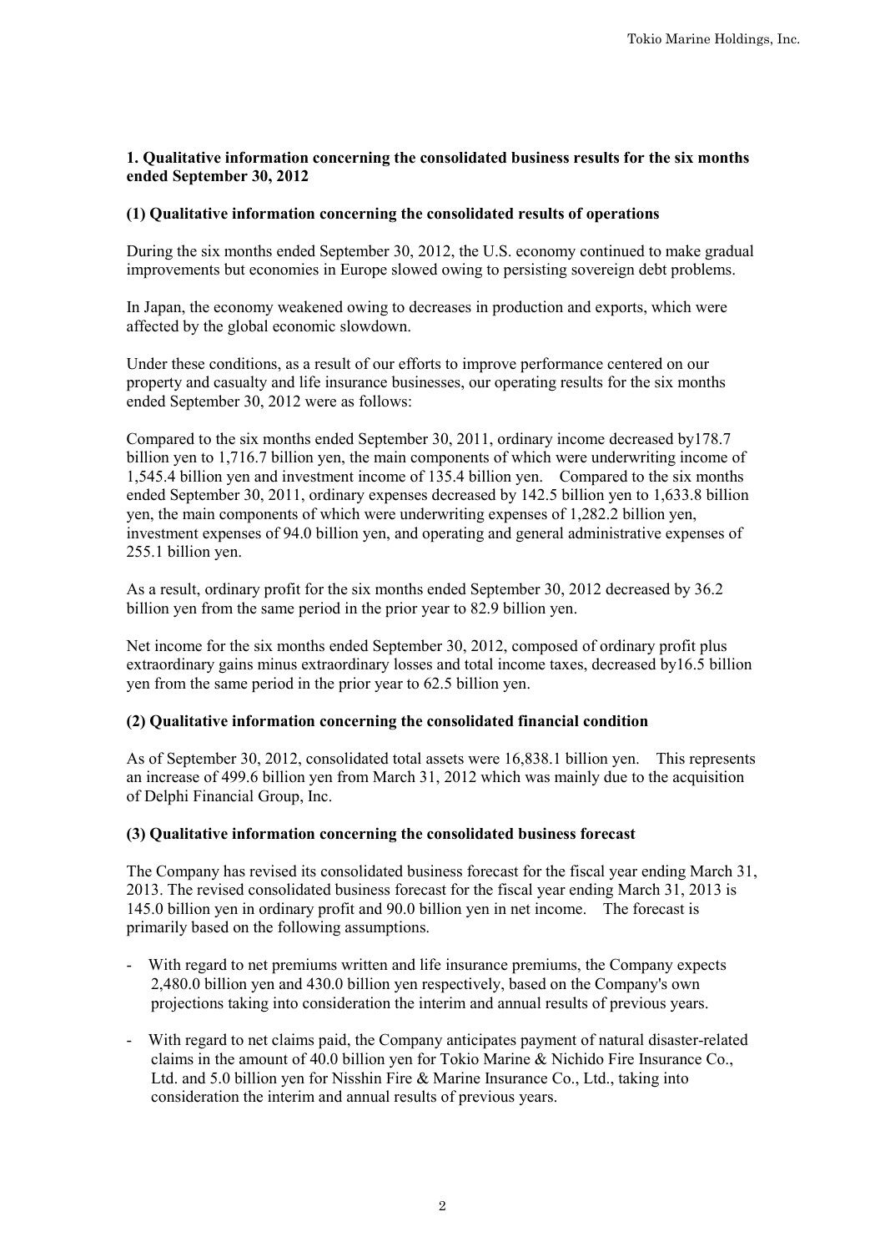# **1. Qualitative information concerning the consolidated business results for the six months ended September 30, 2012**

# **(1) Qualitative information concerning the consolidated results of operations**

During the six months ended September 30, 2012, the U.S. economy continued to make gradual improvements but economies in Europe slowed owing to persisting sovereign debt problems.

In Japan, the economy weakened owing to decreases in production and exports, which were affected by the global economic slowdown.

Under these conditions, as a result of our efforts to improve performance centered on our property and casualty and life insurance businesses, our operating results for the six months ended September 30, 2012 were as follows:

Compared to the six months ended September 30, 2011, ordinary income decreased by178.7 billion yen to 1,716.7 billion yen, the main components of which were underwriting income of 1,545.4 billion yen and investment income of 135.4 billion yen. Compared to the six months ended September 30, 2011, ordinary expenses decreased by 142.5 billion yen to 1,633.8 billion yen, the main components of which were underwriting expenses of 1,282.2 billion yen, investment expenses of 94.0 billion yen, and operating and general administrative expenses of 255.1 billion yen.

As a result, ordinary profit for the six months ended September 30, 2012 decreased by 36.2 billion yen from the same period in the prior year to 82.9 billion yen.

Net income for the six months ended September 30, 2012, composed of ordinary profit plus extraordinary gains minus extraordinary losses and total income taxes, decreased by16.5 billion yen from the same period in the prior year to 62.5 billion yen.

# **(2) Qualitative information concerning the consolidated financial condition**

As of September 30, 2012, consolidated total assets were 16,838.1 billion yen. This represents an increase of 499.6 billion yen from March 31, 2012 which was mainly due to the acquisition of Delphi Financial Group, Inc.

# **(3) Qualitative information concerning the consolidated business forecast**

The Company has revised its consolidated business forecast for the fiscal year ending March 31, 2013. The revised consolidated business forecast for the fiscal year ending March 31, 2013 is 145.0 billion yen in ordinary profit and 90.0 billion yen in net income. The forecast is primarily based on the following assumptions.

- With regard to net premiums written and life insurance premiums, the Company expects 2,480.0 billion yen and 430.0 billion yen respectively, based on the Company's own projections taking into consideration the interim and annual results of previous years.
- With regard to net claims paid, the Company anticipates payment of natural disaster-related claims in the amount of 40.0 billion yen for Tokio Marine & Nichido Fire Insurance Co., Ltd. and 5.0 billion yen for Nisshin Fire & Marine Insurance Co., Ltd., taking into consideration the interim and annual results of previous years.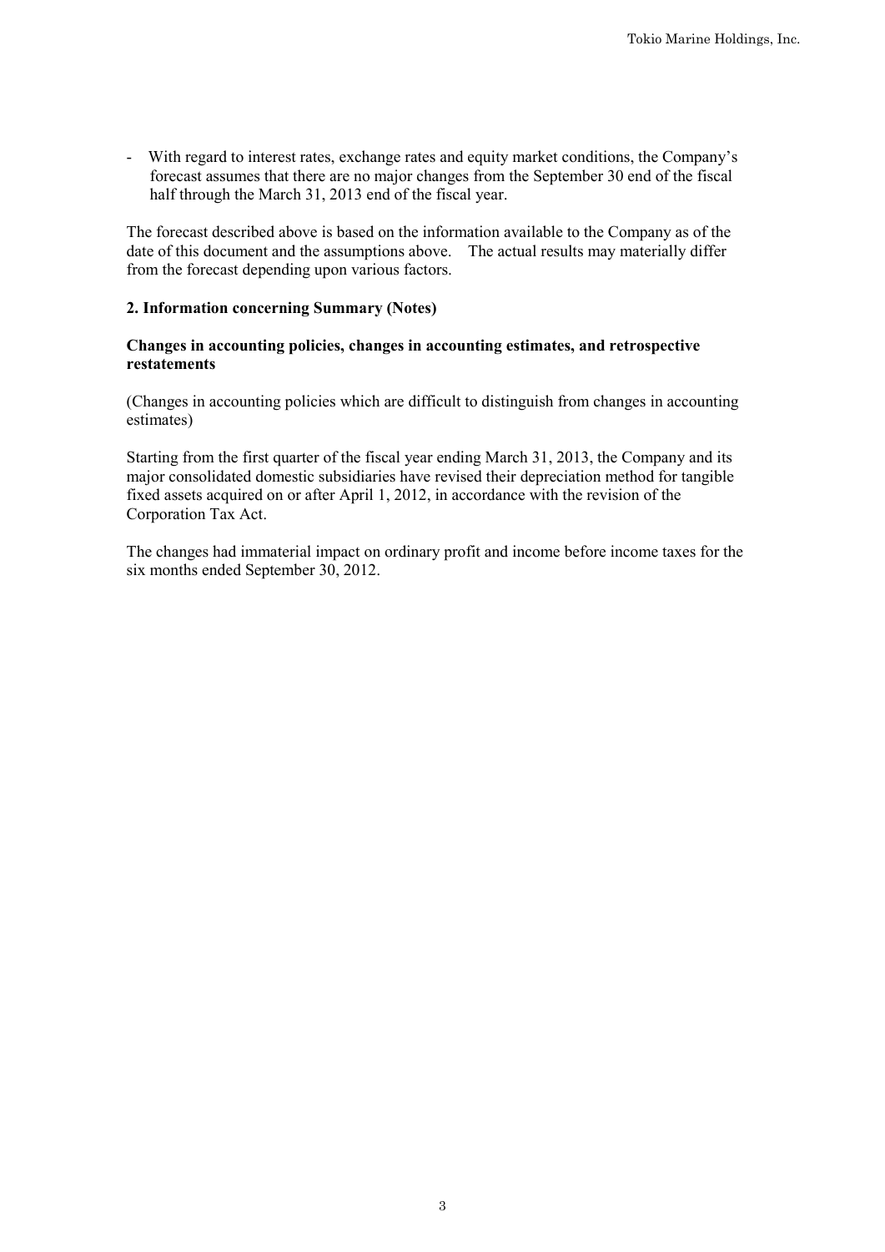- With regard to interest rates, exchange rates and equity market conditions, the Company's forecast assumes that there are no major changes from the September 30 end of the fiscal half through the March 31, 2013 end of the fiscal year.

The forecast described above is based on the information available to the Company as of the date of this document and the assumptions above. The actual results may materially differ from the forecast depending upon various factors.

# **2. Information concerning Summary (Notes)**

# **Changes in accounting policies, changes in accounting estimates, and retrospective restatements**

(Changes in accounting policies which are difficult to distinguish from changes in accounting estimates)

Starting from the first quarter of the fiscal year ending March 31, 2013, the Company and its major consolidated domestic subsidiaries have revised their depreciation method for tangible fixed assets acquired on or after April 1, 2012, in accordance with the revision of the Corporation Tax Act.

The changes had immaterial impact on ordinary profit and income before income taxes for the six months ended September 30, 2012.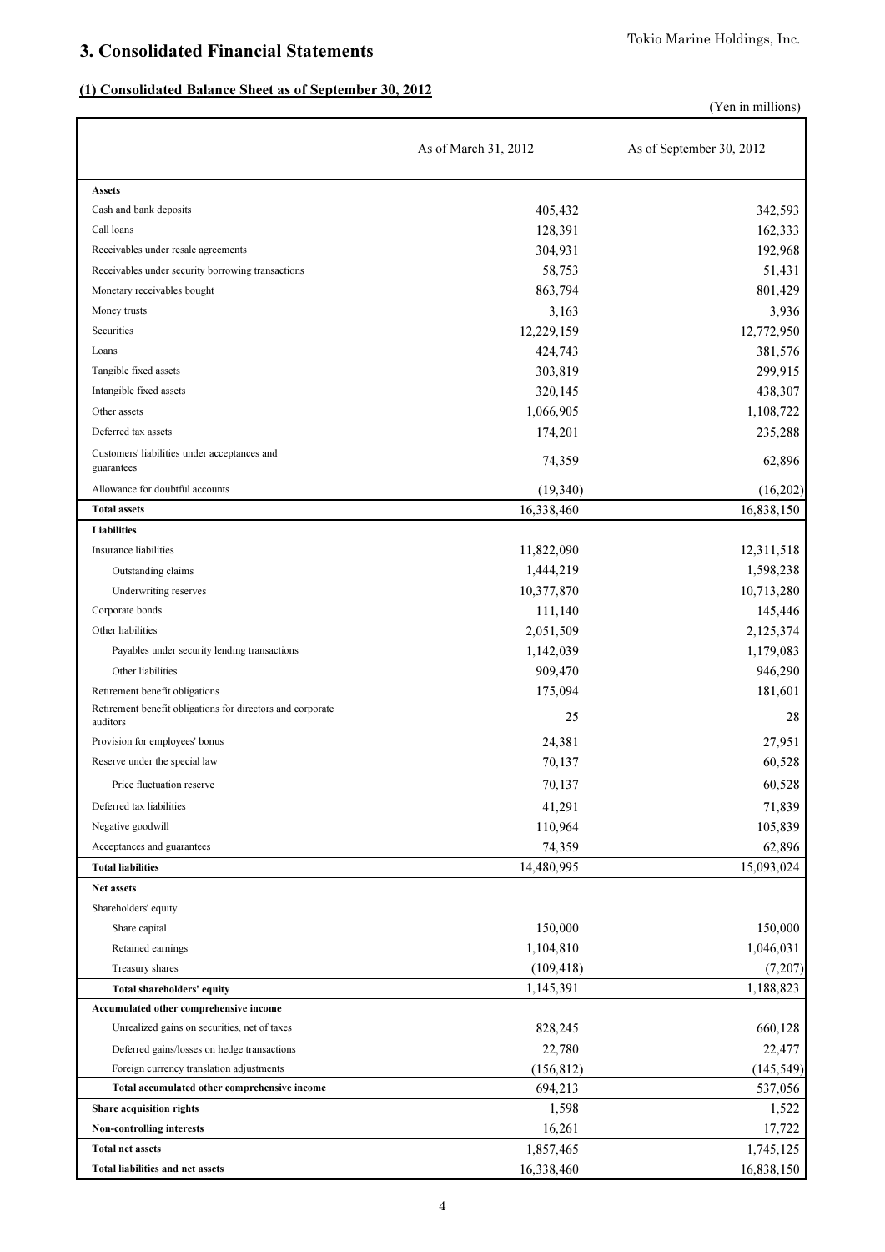# 3. Consolidated Financial Statements

# (1) Consolidated Balance Sheet as of September 30, 2012

(Yen in millions)

|                                                                        | As of March 31, 2012 | As of September 30, 2012 |
|------------------------------------------------------------------------|----------------------|--------------------------|
| <b>Assets</b>                                                          |                      |                          |
| Cash and bank deposits                                                 | 405,432              | 342,593                  |
| Call loans                                                             | 128,391              | 162,333                  |
| Receivables under resale agreements                                    | 304,931              | 192,968                  |
| Receivables under security borrowing transactions                      | 58,753               | 51,431                   |
| Monetary receivables bought                                            | 863,794              | 801,429                  |
| Money trusts                                                           | 3,163                | 3,936                    |
| Securities                                                             | 12,229,159           | 12,772,950               |
| Loans                                                                  | 424,743              | 381,576                  |
| Tangible fixed assets                                                  | 303,819              | 299,915                  |
| Intangible fixed assets                                                | 320,145              | 438,307                  |
| Other assets                                                           | 1,066,905            | 1,108,722                |
| Deferred tax assets                                                    | 174,201              | 235,288                  |
| Customers' liabilities under acceptances and<br>guarantees             | 74,359               | 62,896                   |
| Allowance for doubtful accounts                                        | (19,340)             | (16,202)                 |
| <b>Total assets</b>                                                    | 16,338,460           | 16,838,150               |
| Liabilities                                                            |                      |                          |
| Insurance liabilities                                                  | 11,822,090           | 12,311,518               |
| Outstanding claims                                                     | 1,444,219            | 1,598,238                |
| Underwriting reserves                                                  | 10,377,870           | 10,713,280               |
| Corporate bonds                                                        | 111,140              | 145,446                  |
| Other liabilities                                                      | 2,051,509            | 2,125,374                |
| Payables under security lending transactions                           | 1,142,039            | 1,179,083                |
| Other liabilities                                                      | 909,470              | 946,290                  |
| Retirement benefit obligations                                         | 175,094              | 181,601                  |
| Retirement benefit obligations for directors and corporate<br>auditors | 25                   | 28                       |
| Provision for employees' bonus                                         | 24,381               | 27,951                   |
| Reserve under the special law                                          | 70,137               | 60,528                   |
| Price fluctuation reserve                                              | 70,137               | 60,528                   |
| Deferred tax liabilities                                               | 41,291               | 71,839                   |
| Negative goodwill                                                      | 110,964              | 105,839                  |
| Acceptances and guarantees                                             | 74,359               | 62,896                   |
| <b>Total liabilities</b>                                               | 14,480,995           | 15,093,024               |
| Net assets                                                             |                      |                          |
| Shareholders' equity                                                   |                      |                          |
| Share capital                                                          | 150,000              | 150,000                  |
| Retained earnings                                                      | 1,104,810            | 1,046,031                |
| Treasury shares                                                        | (109, 418)           | (7,207)                  |
| Total shareholders' equity                                             | 1,145,391            | 1,188,823                |
| Accumulated other comprehensive income                                 |                      |                          |
| Unrealized gains on securities, net of taxes                           | 828,245              | 660,128                  |
| Deferred gains/losses on hedge transactions                            | 22,780               | 22,477                   |
| Foreign currency translation adjustments                               | (156, 812)           | (145, 549)               |
| Total accumulated other comprehensive income                           | 694,213              | 537,056                  |
| Share acquisition rights                                               | 1,598                | 1,522                    |
| Non-controlling interests                                              | 16,261               | 17,722                   |
| <b>Total net assets</b>                                                | 1,857,465            | 1,745,125                |
| Total liabilities and net assets                                       | 16,338,460           | 16,838,150               |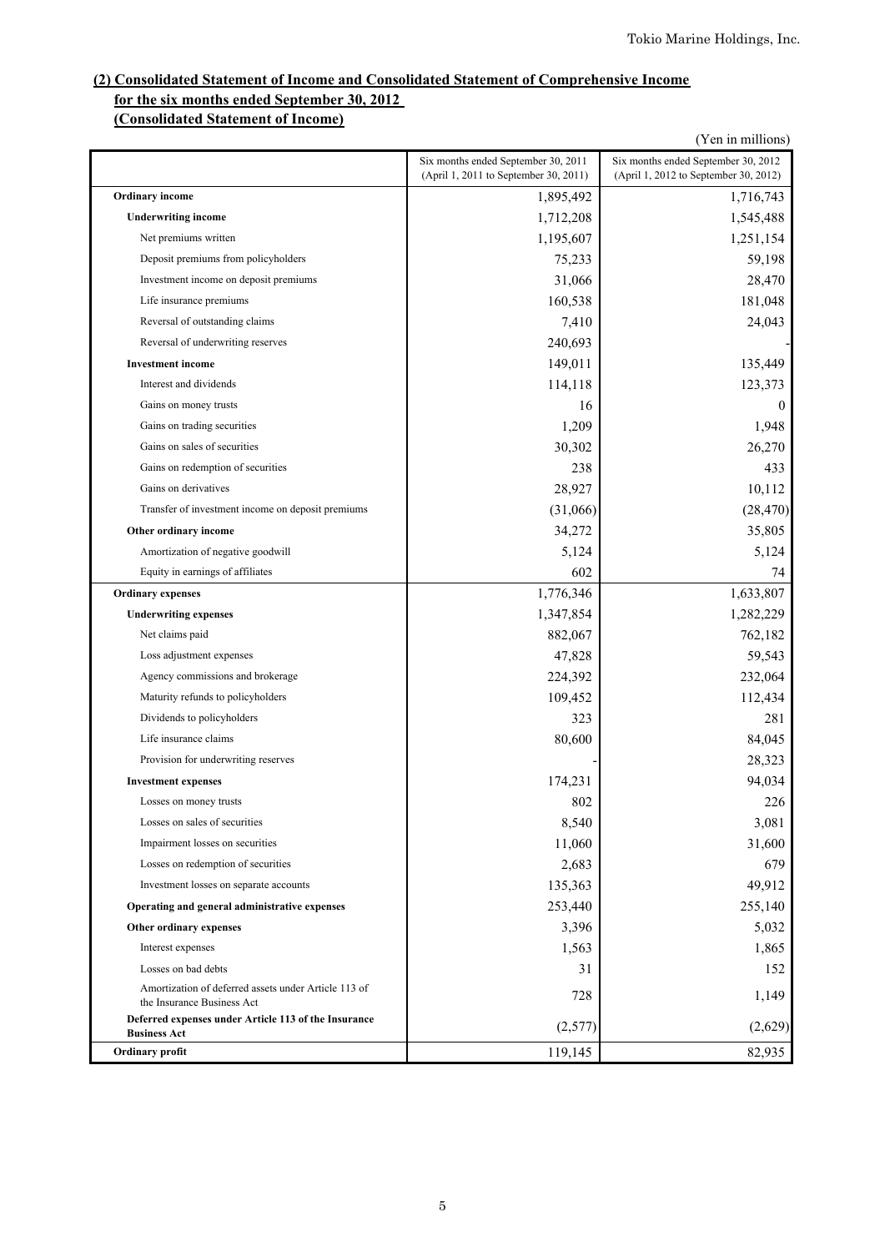# **(2) Consolidated Statement of Income and Consolidated Statement of Comprehensive Income for the six months ended September 30, 2012**

## **(Consolidated Statement of Income)**

|                                                                                    |                                                                              | (Yen in millions)                                                            |
|------------------------------------------------------------------------------------|------------------------------------------------------------------------------|------------------------------------------------------------------------------|
|                                                                                    | Six months ended September 30, 2011<br>(April 1, 2011 to September 30, 2011) | Six months ended September 30, 2012<br>(April 1, 2012 to September 30, 2012) |
| Ordinary income                                                                    | 1,895,492                                                                    | 1,716,743                                                                    |
| <b>Underwriting income</b>                                                         | 1,712,208                                                                    | 1,545,488                                                                    |
| Net premiums written                                                               | 1,195,607                                                                    | 1,251,154                                                                    |
| Deposit premiums from policyholders                                                | 75,233                                                                       | 59,198                                                                       |
| Investment income on deposit premiums                                              | 31,066                                                                       | 28,470                                                                       |
| Life insurance premiums                                                            | 160,538                                                                      | 181,048                                                                      |
| Reversal of outstanding claims                                                     | 7,410                                                                        | 24,043                                                                       |
| Reversal of underwriting reserves                                                  | 240,693                                                                      |                                                                              |
| <b>Investment</b> income                                                           | 149,011                                                                      | 135,449                                                                      |
| Interest and dividends                                                             | 114,118                                                                      | 123,373                                                                      |
| Gains on money trusts                                                              | 16                                                                           | $\mathbf{0}$                                                                 |
| Gains on trading securities                                                        | 1,209                                                                        | 1,948                                                                        |
| Gains on sales of securities                                                       | 30,302                                                                       | 26,270                                                                       |
| Gains on redemption of securities                                                  | 238                                                                          | 433                                                                          |
| Gains on derivatives                                                               | 28,927                                                                       | 10,112                                                                       |
| Transfer of investment income on deposit premiums                                  | (31,066)                                                                     | (28, 470)                                                                    |
| Other ordinary income                                                              | 34,272                                                                       | 35,805                                                                       |
| Amortization of negative goodwill                                                  | 5,124                                                                        | 5,124                                                                        |
| Equity in earnings of affiliates                                                   | 602                                                                          | 74                                                                           |
| <b>Ordinary expenses</b>                                                           | 1,776,346                                                                    | 1,633,807                                                                    |
| <b>Underwriting expenses</b>                                                       | 1,347,854                                                                    | 1,282,229                                                                    |
| Net claims paid                                                                    | 882,067                                                                      | 762,182                                                                      |
| Loss adjustment expenses                                                           | 47,828                                                                       | 59,543                                                                       |
| Agency commissions and brokerage                                                   | 224,392                                                                      | 232,064                                                                      |
| Maturity refunds to policyholders                                                  | 109,452                                                                      | 112,434                                                                      |
| Dividends to policyholders                                                         | 323                                                                          | 281                                                                          |
| Life insurance claims                                                              | 80,600                                                                       | 84,045                                                                       |
| Provision for underwriting reserves                                                |                                                                              | 28,323                                                                       |
| <b>Investment expenses</b>                                                         | 174,231                                                                      | 94,034                                                                       |
| Losses on money trusts                                                             | 802                                                                          | 226                                                                          |
| Losses on sales of securities                                                      | 8,540                                                                        | 3,081                                                                        |
| Impairment losses on securities                                                    | 11,060                                                                       | 31,600                                                                       |
| Losses on redemption of securities                                                 | 2,683                                                                        | 679                                                                          |
| Investment losses on separate accounts                                             | 135,363                                                                      | 49,912                                                                       |
| Operating and general administrative expenses                                      | 253,440                                                                      | 255,140                                                                      |
| Other ordinary expenses                                                            | 3,396                                                                        | 5,032                                                                        |
| Interest expenses                                                                  | 1,563                                                                        | 1,865                                                                        |
| Losses on bad debts                                                                | 31                                                                           | 152                                                                          |
| Amortization of deferred assets under Article 113 of<br>the Insurance Business Act | 728                                                                          | 1,149                                                                        |
| Deferred expenses under Article 113 of the Insurance<br><b>Business Act</b>        | (2,577)                                                                      | (2,629)                                                                      |
| Ordinary profit                                                                    | 119,145                                                                      | 82,935                                                                       |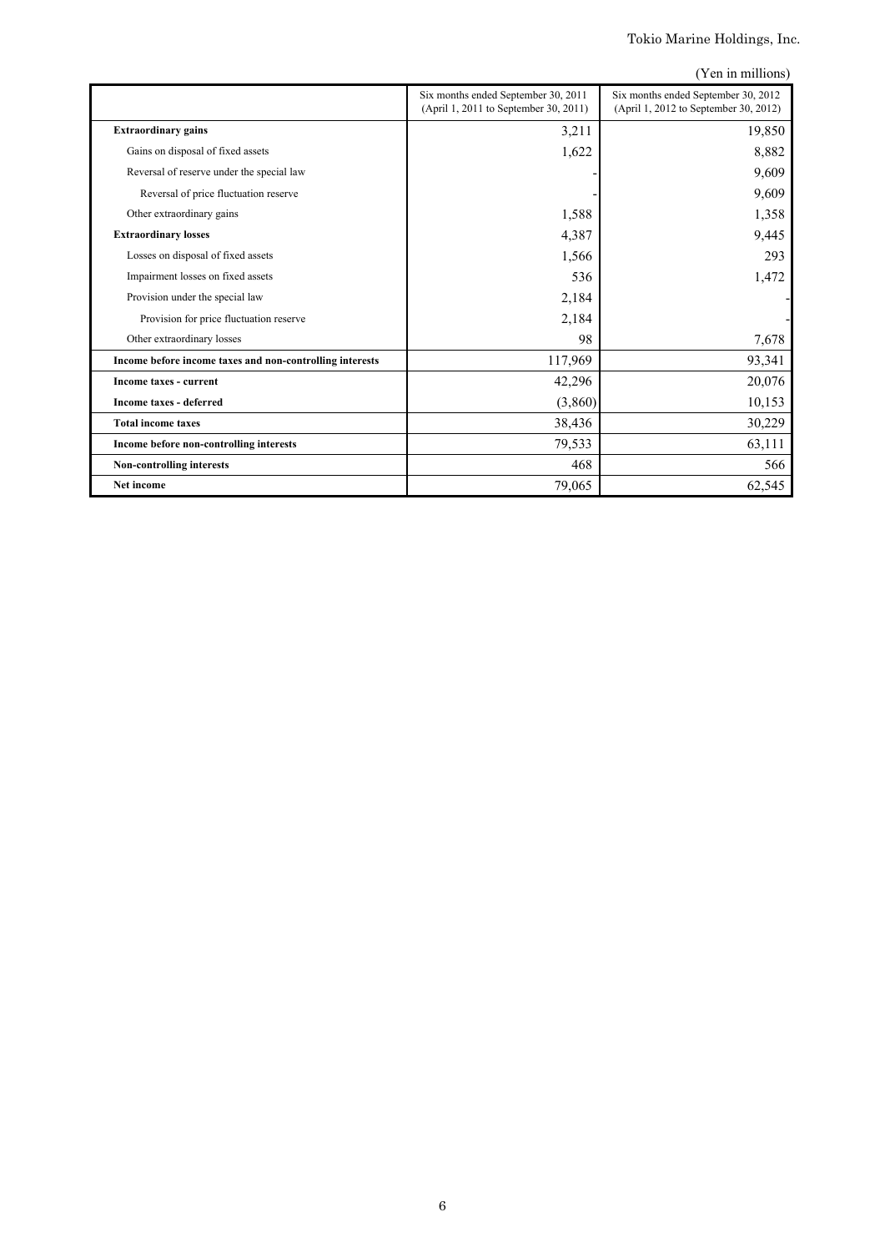|                                                          |                                                                              | (Yen in millions)                                                            |
|----------------------------------------------------------|------------------------------------------------------------------------------|------------------------------------------------------------------------------|
|                                                          | Six months ended September 30, 2011<br>(April 1, 2011 to September 30, 2011) | Six months ended September 30, 2012<br>(April 1, 2012 to September 30, 2012) |
| <b>Extraordinary gains</b>                               | 3,211                                                                        | 19,850                                                                       |
| Gains on disposal of fixed assets                        | 1,622                                                                        | 8,882                                                                        |
| Reversal of reserve under the special law                |                                                                              | 9,609                                                                        |
| Reversal of price fluctuation reserve                    |                                                                              | 9,609                                                                        |
| Other extraordinary gains                                | 1,588                                                                        | 1,358                                                                        |
| <b>Extraordinary losses</b>                              | 4,387                                                                        | 9,445                                                                        |
| Losses on disposal of fixed assets                       | 1,566                                                                        | 293                                                                          |
| Impairment losses on fixed assets                        | 536                                                                          | 1,472                                                                        |
| Provision under the special law                          | 2,184                                                                        |                                                                              |
| Provision for price fluctuation reserve                  | 2,184                                                                        |                                                                              |
| Other extraordinary losses                               | 98                                                                           | 7,678                                                                        |
| Income before income taxes and non-controlling interests | 117,969                                                                      | 93,341                                                                       |
| Income taxes - current                                   | 42,296                                                                       | 20,076                                                                       |
| Income taxes - deferred                                  | (3,860)                                                                      | 10,153                                                                       |
| <b>Total income taxes</b>                                | 38,436                                                                       | 30,229                                                                       |
| Income before non-controlling interests                  | 79,533                                                                       | 63,111                                                                       |
| <b>Non-controlling interests</b>                         | 468                                                                          | 566                                                                          |
| <b>Net income</b>                                        | 79,065                                                                       | 62,545                                                                       |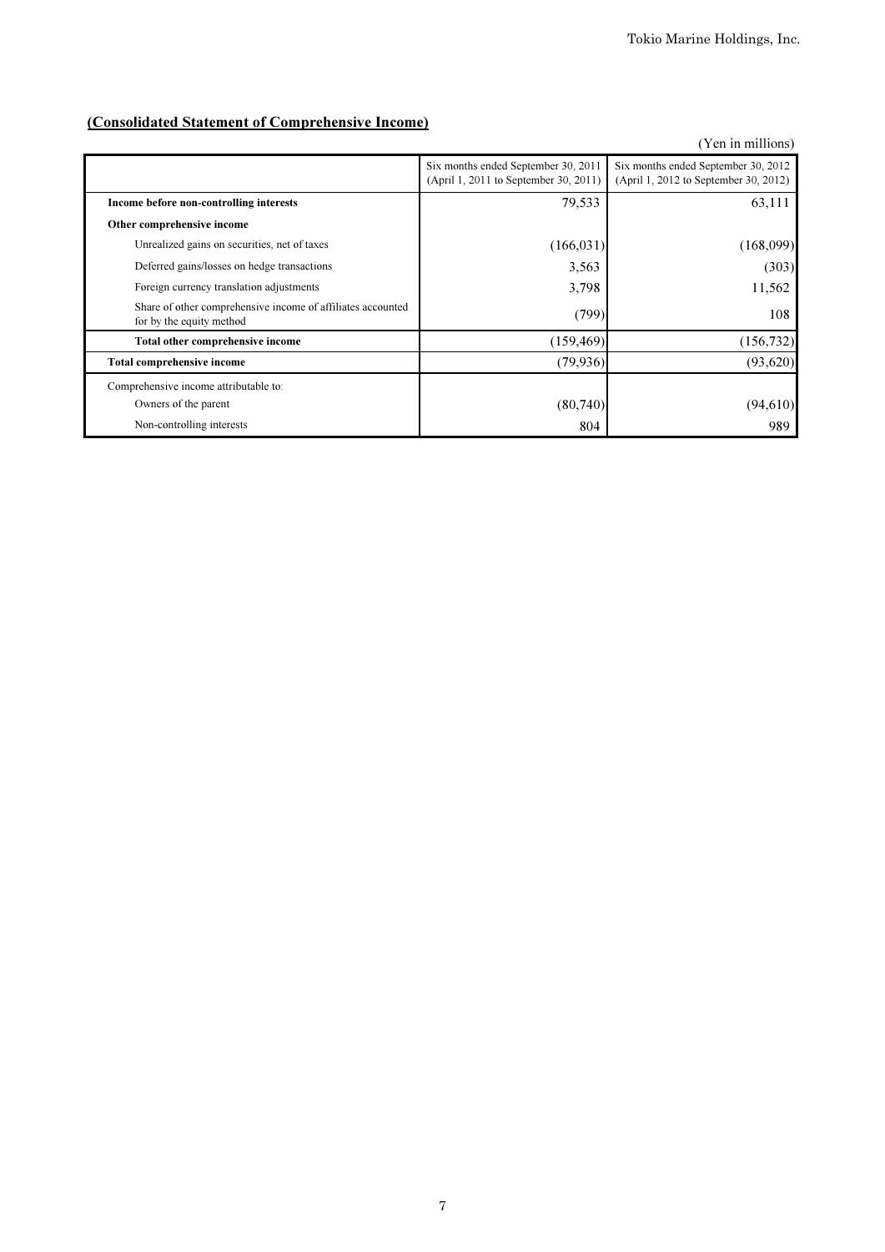# (Consolidated Statement of Comprehensive Income)

|                                                                                         |                                                                              | (Yen in millions)                                                            |
|-----------------------------------------------------------------------------------------|------------------------------------------------------------------------------|------------------------------------------------------------------------------|
|                                                                                         | Six months ended September 30, 2011<br>(April 1, 2011 to September 30, 2011) | Six months ended September 30, 2012<br>(April 1, 2012 to September 30, 2012) |
| Income before non-controlling interests                                                 | 79,533                                                                       | 63,111                                                                       |
| Other comprehensive income                                                              |                                                                              |                                                                              |
| Unrealized gains on securities, net of taxes                                            | (166, 031)                                                                   | (168,099)                                                                    |
| Deferred gains/losses on hedge transactions                                             | 3,563                                                                        | (303)                                                                        |
| Foreign currency translation adjustments                                                | 3,798                                                                        | 11,562                                                                       |
| Share of other comprehensive income of affiliates accounted<br>for by the equity method | (799)                                                                        | 108                                                                          |
| Total other comprehensive income                                                        | (159, 469)                                                                   | (156, 732)                                                                   |
| <b>Total comprehensive income</b>                                                       | (79, 936)                                                                    | (93, 620)                                                                    |
| Comprehensive income attributable to:                                                   |                                                                              |                                                                              |
| Owners of the parent                                                                    | (80,740)                                                                     | (94,610)                                                                     |
| Non-controlling interests                                                               | 804                                                                          | 989                                                                          |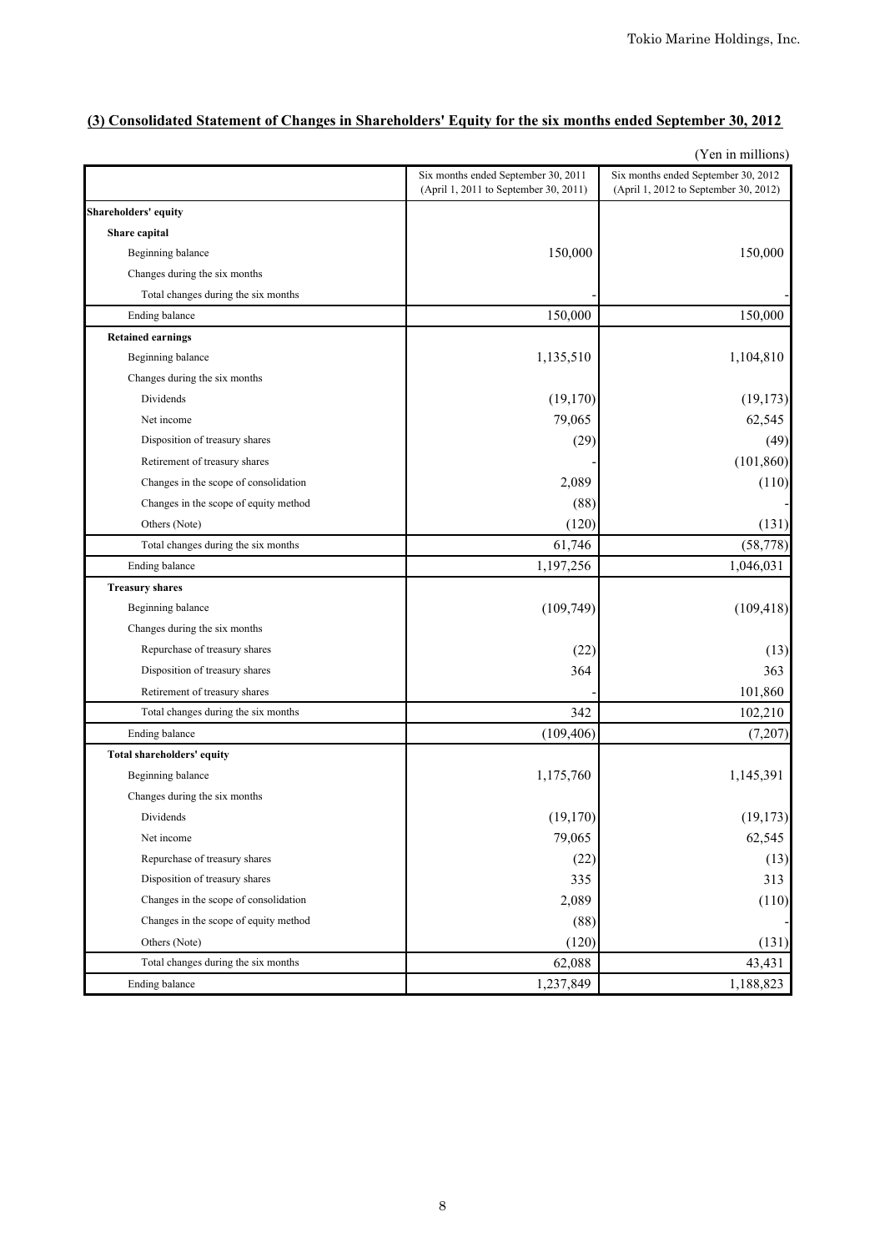# **(3) Consolidated Statement of Changes in Shareholders' Equity for the six months ended September 30, 2012**

|                                       |                                                                              | $($ r en in minions)                                                         |
|---------------------------------------|------------------------------------------------------------------------------|------------------------------------------------------------------------------|
|                                       | Six months ended September 30, 2011<br>(April 1, 2011 to September 30, 2011) | Six months ended September 30, 2012<br>(April 1, 2012 to September 30, 2012) |
| Shareholders' equity                  |                                                                              |                                                                              |
| Share capital                         |                                                                              |                                                                              |
| Beginning balance                     | 150,000                                                                      | 150,000                                                                      |
| Changes during the six months         |                                                                              |                                                                              |
| Total changes during the six months   |                                                                              |                                                                              |
| Ending balance                        | 150,000                                                                      | 150,000                                                                      |
| <b>Retained earnings</b>              |                                                                              |                                                                              |
| Beginning balance                     | 1,135,510                                                                    | 1,104,810                                                                    |
| Changes during the six months         |                                                                              |                                                                              |
| Dividends                             | (19, 170)                                                                    | (19, 173)                                                                    |
| Net income                            | 79,065                                                                       | 62,545                                                                       |
| Disposition of treasury shares        | (29)                                                                         | (49)                                                                         |
| Retirement of treasury shares         |                                                                              | (101, 860)                                                                   |
| Changes in the scope of consolidation | 2,089                                                                        | (110)                                                                        |
| Changes in the scope of equity method | (88)                                                                         |                                                                              |
| Others (Note)                         | (120)                                                                        | (131)                                                                        |
| Total changes during the six months   | 61,746                                                                       | (58, 778)                                                                    |
| Ending balance                        | 1,197,256                                                                    | 1,046,031                                                                    |
| <b>Treasury shares</b>                |                                                                              |                                                                              |
| Beginning balance                     | (109, 749)                                                                   | (109, 418)                                                                   |
| Changes during the six months         |                                                                              |                                                                              |
| Repurchase of treasury shares         | (22)                                                                         | (13)                                                                         |
| Disposition of treasury shares        | 364                                                                          | 363                                                                          |
| Retirement of treasury shares         |                                                                              | 101,860                                                                      |
| Total changes during the six months   | 342                                                                          | 102,210                                                                      |
| Ending balance                        | (109, 406)                                                                   | (7,207)                                                                      |
| Total shareholders' equity            |                                                                              |                                                                              |
| Beginning balance                     | 1,175,760                                                                    | 1,145,391                                                                    |
| Changes during the six months         |                                                                              |                                                                              |
| Dividends                             | (19, 170)                                                                    | (19, 173)                                                                    |
| Net income                            | 79,065                                                                       | 62,545                                                                       |
| Repurchase of treasury shares         | (22)                                                                         | (13)                                                                         |
| Disposition of treasury shares        | 335                                                                          | 313                                                                          |
| Changes in the scope of consolidation | 2,089                                                                        | (110)                                                                        |
| Changes in the scope of equity method | (88)                                                                         |                                                                              |
| Others (Note)                         | (120)                                                                        | (131)                                                                        |
| Total changes during the six months   | 62,088                                                                       | 43,431                                                                       |
| <b>Ending balance</b>                 | 1,237,849                                                                    | 1,188,823                                                                    |

(Yen in millions)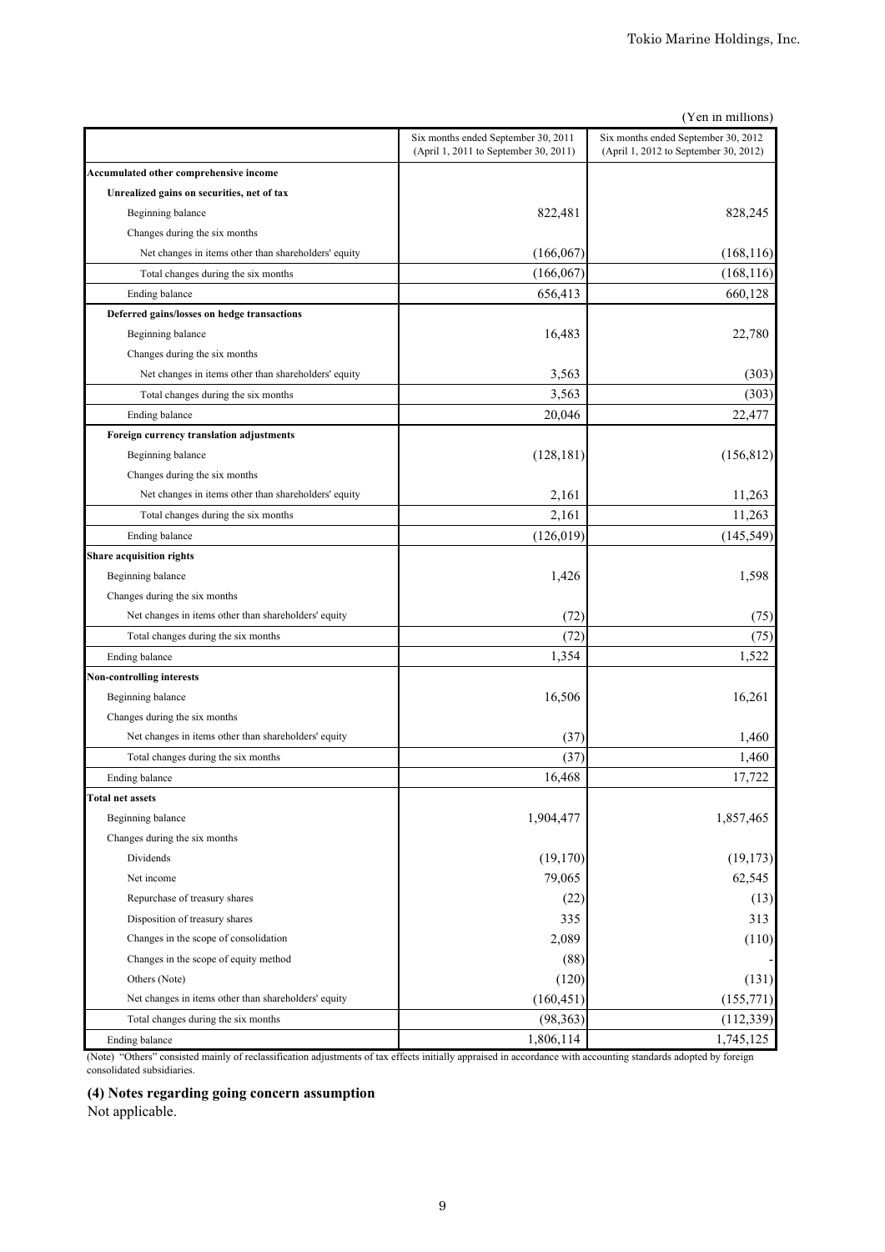|                                                      |                                                                              | (Yen in millions)                                                            |
|------------------------------------------------------|------------------------------------------------------------------------------|------------------------------------------------------------------------------|
|                                                      | Six months ended September 30, 2011<br>(April 1, 2011 to September 30, 2011) | Six months ended September 30, 2012<br>(April 1, 2012 to September 30, 2012) |
| Accumulated other comprehensive income               |                                                                              |                                                                              |
| Unrealized gains on securities, net of tax           |                                                                              |                                                                              |
| Beginning balance                                    | 822,481                                                                      | 828,245                                                                      |
| Changes during the six months                        |                                                                              |                                                                              |
| Net changes in items other than shareholders' equity | (166, 067)                                                                   | (168, 116)                                                                   |
| Total changes during the six months                  | (166, 067)                                                                   | (168, 116)                                                                   |
| Ending balance                                       | 656,413                                                                      | 660,128                                                                      |
| Deferred gains/losses on hedge transactions          |                                                                              |                                                                              |
| Beginning balance                                    | 16,483                                                                       | 22,780                                                                       |
| Changes during the six months                        |                                                                              |                                                                              |
| Net changes in items other than shareholders' equity | 3,563                                                                        | (303)                                                                        |
| Total changes during the six months                  | 3,563                                                                        | (303)                                                                        |
| Ending balance                                       | 20,046                                                                       | 22,477                                                                       |
| Foreign currency translation adjustments             |                                                                              |                                                                              |
| Beginning balance                                    | (128, 181)                                                                   | (156, 812)                                                                   |
| Changes during the six months                        |                                                                              |                                                                              |
| Net changes in items other than shareholders' equity | 2,161                                                                        | 11,263                                                                       |
| Total changes during the six months                  | 2,161                                                                        | 11,263                                                                       |
| Ending balance                                       | (126, 019)                                                                   | (145, 549)                                                                   |
| <b>Share acquisition rights</b>                      |                                                                              |                                                                              |
| Beginning balance                                    | 1,426                                                                        | 1,598                                                                        |
| Changes during the six months                        |                                                                              |                                                                              |
| Net changes in items other than shareholders' equity | (72)                                                                         | (75)                                                                         |
| Total changes during the six months                  | (72)                                                                         | (75)                                                                         |
| Ending balance                                       | 1,354                                                                        | 1,522                                                                        |
| <b>Non-controlling interests</b>                     |                                                                              |                                                                              |
| Beginning balance                                    | 16,506                                                                       | 16,261                                                                       |
| Changes during the six months                        |                                                                              |                                                                              |
| Net changes in items other than shareholders' equity | (37)                                                                         | 1,460                                                                        |
| Total changes during the six months                  | (37)                                                                         | 1,460                                                                        |
| Ending balance                                       | 16,468                                                                       | 17,722                                                                       |
| <b>Total net assets</b>                              |                                                                              |                                                                              |
| Beginning balance                                    | 1,904,477                                                                    | 1,857,465                                                                    |
| Changes during the six months                        |                                                                              |                                                                              |
| Dividends                                            | (19,170)                                                                     | (19, 173)                                                                    |
| Net income                                           | 79,065                                                                       | 62,545                                                                       |
| Repurchase of treasury shares                        | (22)                                                                         | (13)                                                                         |
| Disposition of treasury shares                       | 335                                                                          | 313                                                                          |
| Changes in the scope of consolidation                | 2,089                                                                        | (110)                                                                        |
| Changes in the scope of equity method                | (88)                                                                         |                                                                              |
| Others (Note)                                        | (120)                                                                        | (131)                                                                        |
| Net changes in items other than shareholders' equity | (160, 451)                                                                   | (155, 771)                                                                   |
| Total changes during the six months                  | (98, 363)                                                                    | (112, 339)                                                                   |
| Ending balance                                       | 1,806,114                                                                    | 1,745,125                                                                    |

(Note) "Others" consisted mainly of reclassification adjustments of tax effects initially appraised in accordance with accounting standards adopted by foreign consolidated subsidiaries.

# **(4) Notes regarding going concern assumption**

Not applicable.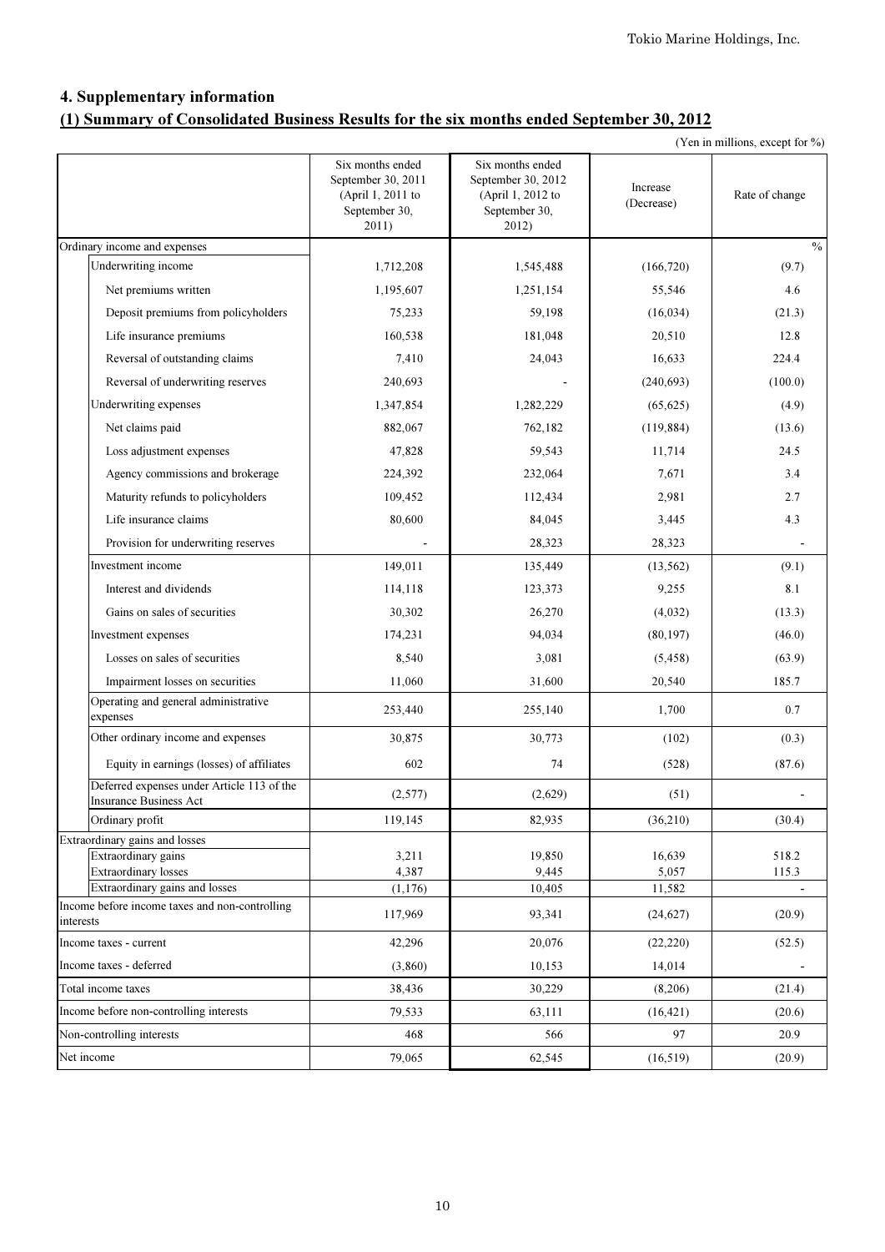# 4. Supplementary information (1) Summary of Consolidated Business Results for the six months ended September 30, 2012

|  | (Yen in millions, except for %) |  |  |
|--|---------------------------------|--|--|
|  |                                 |  |  |

|           |                                                                             | Six months ended<br>September 30, 2011<br>(April 1, 2011 to<br>September 30,<br>2011) | Six months ended<br>September 30, 2012<br>(April 1, 2012 to<br>September 30,<br>2012) | Increase<br>(Decrease) | Rate of change |
|-----------|-----------------------------------------------------------------------------|---------------------------------------------------------------------------------------|---------------------------------------------------------------------------------------|------------------------|----------------|
|           | Ordinary income and expenses                                                |                                                                                       |                                                                                       |                        | $\%$           |
|           | Underwriting income                                                         | 1,712,208                                                                             | 1,545,488                                                                             | (166, 720)             | (9.7)          |
|           | Net premiums written                                                        | 1,195,607                                                                             | 1,251,154                                                                             | 55,546                 | 4.6            |
|           | Deposit premiums from policyholders                                         | 75,233                                                                                | 59,198                                                                                | (16, 034)              | (21.3)         |
|           | Life insurance premiums                                                     | 160,538                                                                               | 181,048                                                                               | 20,510                 | 12.8           |
|           | Reversal of outstanding claims                                              | 7,410                                                                                 | 24,043                                                                                | 16,633                 | 224.4          |
|           | Reversal of underwriting reserves                                           | 240,693                                                                               |                                                                                       | (240, 693)             | (100.0)        |
|           | Underwriting expenses                                                       | 1,347,854                                                                             | 1,282,229                                                                             | (65, 625)              | (4.9)          |
|           | Net claims paid                                                             | 882,067                                                                               | 762,182                                                                               | (119, 884)             | (13.6)         |
|           | Loss adjustment expenses                                                    | 47,828                                                                                | 59,543                                                                                | 11,714                 | 24.5           |
|           | Agency commissions and brokerage                                            | 224,392                                                                               | 232,064                                                                               | 7,671                  | 3.4            |
|           | Maturity refunds to policyholders                                           | 109,452                                                                               | 112,434                                                                               | 2,981                  | 2.7            |
|           | Life insurance claims                                                       | 80,600                                                                                | 84,045                                                                                | 3,445                  | 4.3            |
|           | Provision for underwriting reserves                                         |                                                                                       | 28,323                                                                                | 28,323                 |                |
|           | Investment income                                                           | 149,011                                                                               | 135,449                                                                               | (13, 562)              | (9.1)          |
|           | Interest and dividends                                                      | 114,118                                                                               | 123,373                                                                               | 9,255                  | 8.1            |
|           | Gains on sales of securities                                                | 30,302                                                                                | 26,270                                                                                | (4,032)                | (13.3)         |
|           | Investment expenses                                                         | 174,231                                                                               | 94,034                                                                                | (80, 197)              | (46.0)         |
|           | Losses on sales of securities                                               | 8,540                                                                                 | 3,081                                                                                 | (5, 458)               | (63.9)         |
|           | Impairment losses on securities                                             | 11,060                                                                                | 31,600                                                                                | 20,540                 | 185.7          |
|           | Operating and general administrative<br>expenses                            | 253,440                                                                               | 255,140                                                                               | 1,700                  | 0.7            |
|           | Other ordinary income and expenses                                          | 30,875                                                                                | 30,773                                                                                | (102)                  | (0.3)          |
|           | Equity in earnings (losses) of affiliates                                   | 602                                                                                   | 74                                                                                    | (528)                  | (87.6)         |
|           | Deferred expenses under Article 113 of the<br><b>Insurance Business Act</b> | (2,577)                                                                               | (2,629)                                                                               | (51)                   |                |
|           | Ordinary profit                                                             | 119,145                                                                               | 82,935                                                                                | (36,210)               | (30.4)         |
|           | Extraordinary gains and losses                                              |                                                                                       |                                                                                       |                        |                |
|           | Extraordinary gains                                                         | 3,211                                                                                 | 19,850                                                                                | 16,639                 | 518.2          |
|           | <b>Extraordinary losses</b><br>Extraordinary gains and losses               | 4,387<br>(1, 176)                                                                     | 9,445<br>10,405                                                                       | 5,057<br>11,582        | 115.3          |
|           | Income before income taxes and non-controlling                              | 117,969                                                                               |                                                                                       |                        |                |
| interests |                                                                             |                                                                                       | 93,341                                                                                | (24, 627)              | (20.9)         |
|           | Income taxes - current                                                      | 42,296                                                                                | 20,076                                                                                | (22, 220)              | (52.5)         |
|           | Income taxes - deferred                                                     | (3,860)                                                                               | 10,153                                                                                | 14,014                 |                |
|           | Total income taxes                                                          | 38,436                                                                                | 30,229                                                                                | (8,206)                | (21.4)         |
|           | Income before non-controlling interests                                     | 79,533                                                                                | 63,111                                                                                | (16, 421)              | (20.6)         |
|           | Non-controlling interests                                                   | 468                                                                                   | 566                                                                                   | 97                     | 20.9           |
|           | Net income                                                                  | 79,065                                                                                | 62,545                                                                                | (16, 519)              | (20.9)         |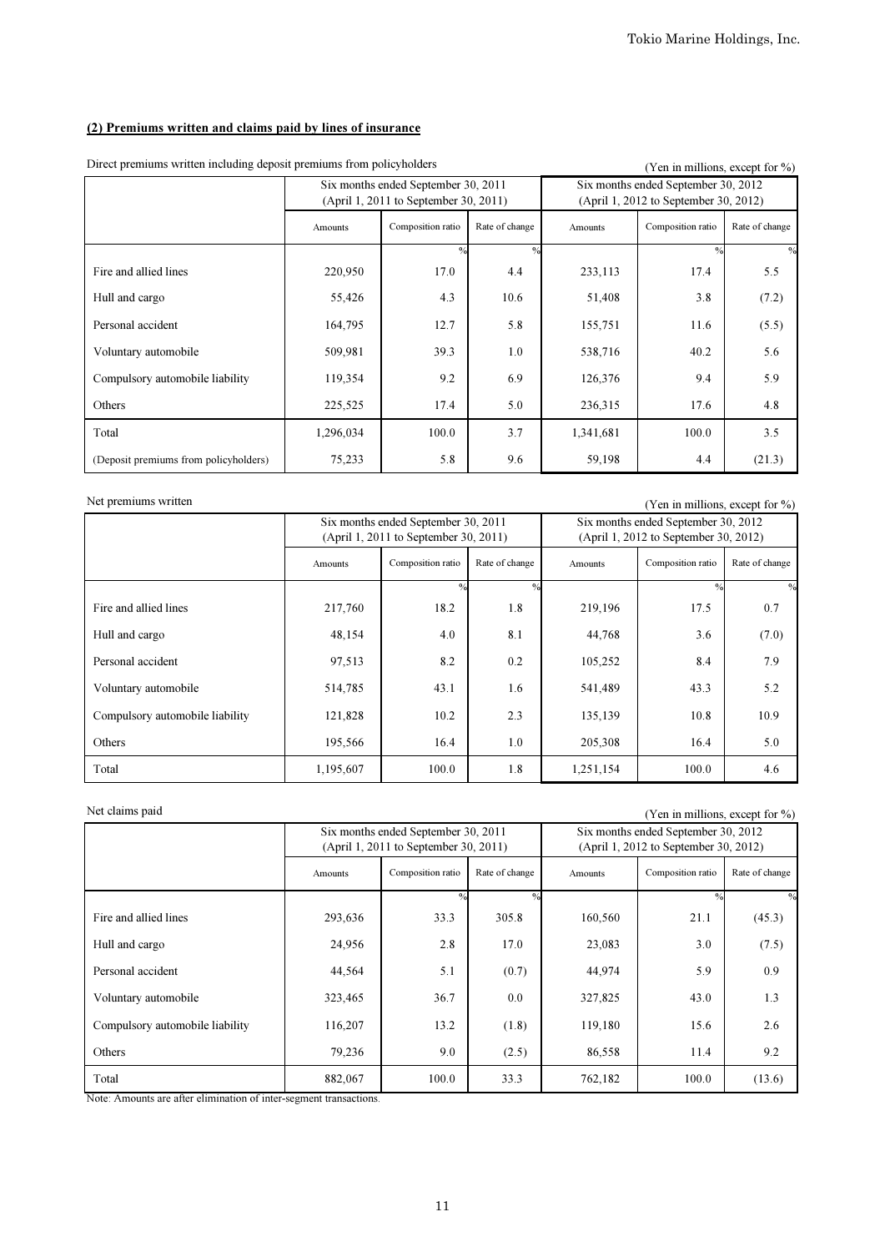# (2) Premiums written and claims paid by lines of insurance

| Direct premiums written including deposit premiums from poneyholders    |           |                                                                              |                |                    | Y en in millions, except for %)                                              |                |
|-------------------------------------------------------------------------|-----------|------------------------------------------------------------------------------|----------------|--------------------|------------------------------------------------------------------------------|----------------|
|                                                                         |           | Six months ended September 30, 2011<br>(April 1, 2011 to September 30, 2011) |                |                    | Six months ended September 30, 2012<br>(April 1, 2012 to September 30, 2012) |                |
|                                                                         | Amounts   | Composition ratio                                                            | Rate of change | Amounts            | Composition ratio                                                            | Rate of change |
|                                                                         |           | $\frac{0}{0}$                                                                | 0/             |                    | $\frac{0}{0}$                                                                | $\frac{0}{0}$  |
| Fire and allied lines                                                   | 220,950   | 17.0                                                                         | 4.4            | 233,113            | 17.4                                                                         | 5.5            |
| Hull and cargo                                                          | 55,426    | 4.3                                                                          | 10.6           | 51,408             | 3.8                                                                          | (7.2)          |
| Personal accident                                                       | 164,795   | 12.7                                                                         | 5.8            | 155,751            | 11.6                                                                         | (5.5)          |
| Voluntary automobile                                                    | 509,981   | 538,716                                                                      | 40.2           | 5.6                |                                                                              |                |
| 39.3<br>1.0<br>9.2<br>6.9<br>119,354<br>Compulsory automobile liability |           |                                                                              |                | 126,376            | 9.4                                                                          | 5.9            |
| Others                                                                  | 225,525   | 17.4                                                                         | 5.0            | 236,315            | 17.6                                                                         | 4.8            |
| Total                                                                   | 1,296,034 | 100.0                                                                        | 3.7            | 1,341,681<br>100.0 |                                                                              | 3.5            |
| (Deposit premiums from policyholders)                                   | 75,233    | 5.8                                                                          | 9.6            | 59,198             | 4.4                                                                          | (21.3)         |

Direct premiums written including deposit premiums from policyholders (Yen in millions, except for  $\frac{9}{2}$ )

Net premiums written (Yen in millions, except for %)

|                                 |           | Six months ended September 30, 2011<br>(April 1, 2011 to September 30, 2011) |                |           | Six months ended September 30, 2012<br>(April 1, 2012 to September 30, 2012) |                |
|---------------------------------|-----------|------------------------------------------------------------------------------|----------------|-----------|------------------------------------------------------------------------------|----------------|
|                                 | Amounts   | Composition ratio                                                            | Rate of change | Amounts   | Composition ratio                                                            | Rate of change |
|                                 |           | $\frac{0}{0}$                                                                | 0/2            |           | $^{0/0}$                                                                     | $\frac{0}{0}$  |
| Fire and allied lines           | 217,760   | 18.2                                                                         | 1.8            | 219,196   | 17.5                                                                         | 0.7            |
| Hull and cargo                  | 48,154    | 4.0                                                                          | 8.1            | 44,768    | 3.6                                                                          | (7.0)          |
| Personal accident               | 97,513    | 8.2                                                                          | 0.2            | 105,252   | 8.4                                                                          | 7.9            |
| Voluntary automobile            | 514,785   | 43.1                                                                         | 1.6            | 541,489   | 43.3                                                                         | 5.2            |
| Compulsory automobile liability | 121,828   | 10.2                                                                         | 2.3            | 135,139   | 10.8                                                                         | 10.9           |
| Others                          | 195,566   | 16.4                                                                         | 1.0            | 205,308   | 16.4                                                                         | 5.0            |
| Total                           | 1,195,607 | 100.0                                                                        | 1.8            | 1,251,154 | 100.0                                                                        | 4.6            |

Net claims paid (Yen in millions, except for %)

|                                 |         | Six months ended September 30, 2011<br>(April 1, 2011 to September 30, 2011) |                |                | Six months ended September 30, 2012<br>(April 1, 2012 to September 30, 2012) |                |
|---------------------------------|---------|------------------------------------------------------------------------------|----------------|----------------|------------------------------------------------------------------------------|----------------|
|                                 | Amounts | Composition ratio                                                            | Rate of change | <b>Amounts</b> | Composition ratio                                                            | Rate of change |
|                                 |         | $^{0/2}$                                                                     | 0/             |                | 0/                                                                           |                |
| Fire and allied lines           | 293,636 | 33.3                                                                         | 305.8          | 160,560        | 21.1                                                                         | (45.3)         |
| Hull and cargo                  | 24,956  | 2.8                                                                          | 17.0           | 23,083         | 3.0                                                                          | (7.5)          |
| Personal accident               | 44,564  | 5.1                                                                          | (0.7)          | 44,974         | 5.9                                                                          | 0.9            |
| Voluntary automobile            | 323,465 | 36.7                                                                         | 0.0            | 327,825        | 43.0                                                                         | 1.3            |
| Compulsory automobile liability | 116,207 | 13.2                                                                         | (1.8)          | 119,180        | 15.6                                                                         | 2.6            |
| Others                          | 79,236  | 9.0                                                                          | (2.5)          | 86,558         | 11.4                                                                         | 9.2            |
| Total                           | 882,067 | 100.0                                                                        | 33.3           | 762,182        | 100.0                                                                        | (13.6)         |

Note: Amounts are after elimination of inter-segment transactions.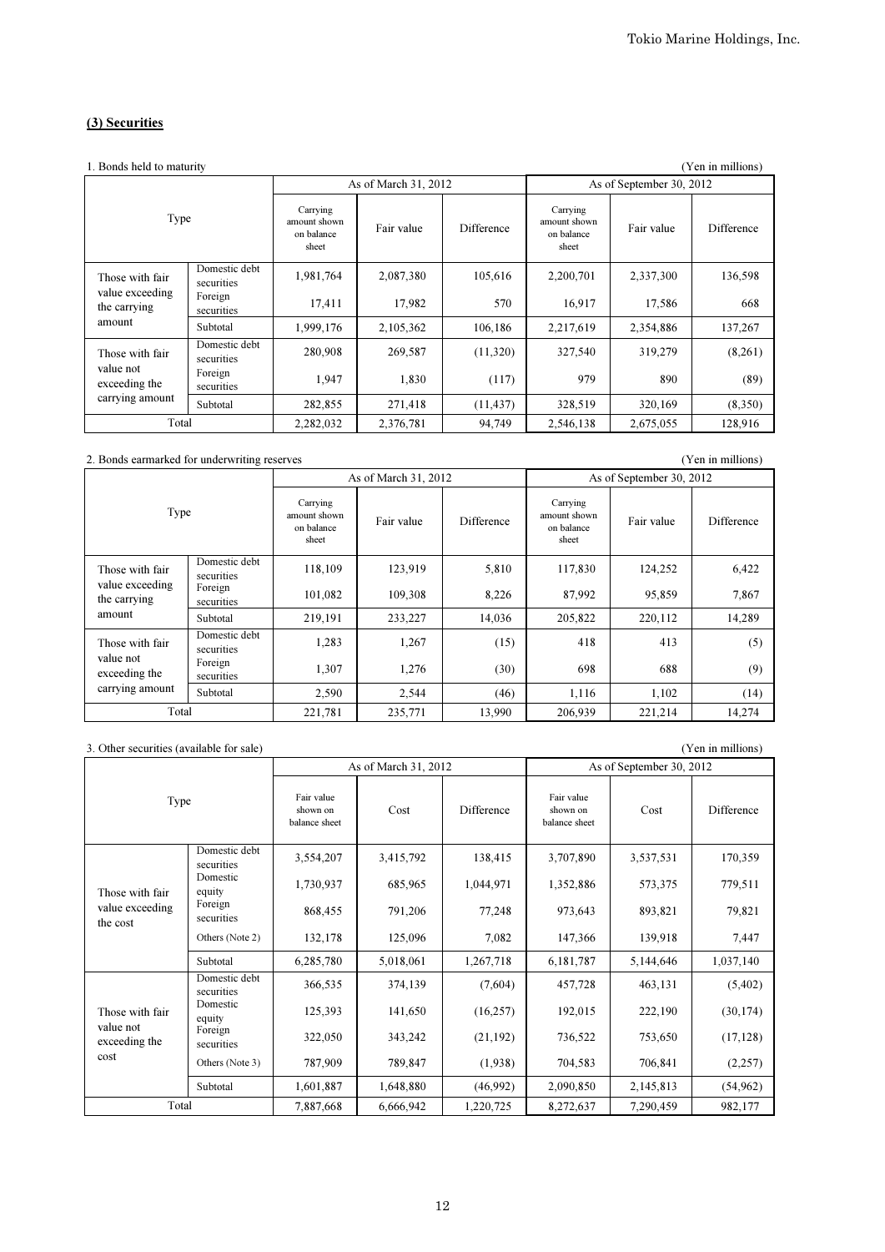## (3) Securities

| 1. Bonds held to maturity       |                             |                                                 |                      |            |                                                 |                          | (Yen in millions) |
|---------------------------------|-----------------------------|-------------------------------------------------|----------------------|------------|-------------------------------------------------|--------------------------|-------------------|
|                                 |                             |                                                 | As of March 31, 2012 |            |                                                 | As of September 30, 2012 |                   |
| Type                            |                             | Carrying<br>amount shown<br>on balance<br>sheet | Fair value           | Difference | Carrying<br>amount shown<br>on balance<br>sheet | Fair value               | Difference        |
| Those with fair                 | Domestic debt<br>securities | 1,981,764                                       | 2,087,380            | 105,616    | 2,200,701                                       | 2,337,300                | 136,598           |
| value exceeding<br>the carrying | Foreign<br>securities       | 17,411                                          | 17,982               | 570        | 16,917                                          | 17,586                   | 668               |
| amount                          | Subtotal                    | 1,999,176                                       | 2,105,362            | 106,186    | 2,217,619                                       | 2,354,886                | 137,267           |
| Those with fair                 | Domestic debt<br>securities | 280,908                                         | 269,587              | (11,320)   | 327,540                                         | 319,279                  | (8,261)           |
| value not<br>exceeding the      | Foreign<br>securities       | 1,947                                           | 1,830                | (117)      | 979                                             | 890                      | (89)              |
| carrying amount                 | Subtotal                    | 282,855                                         | 271,418              | (11, 437)  | 328,519                                         | 320,169                  | (8,350)           |
| Total                           |                             | 2,282,032                                       | 2,376,781            | 94,749     | 2,546,138                                       | 2,675,055                | 128,916           |

#### 2. Bonds earmarked for underwriting reserves (Yen in millions)

Carrying amount shown on balance sheet Fair value Difference Carrying amount shown on balance sheet Fair value Difference Domestic debt securities 118,109 123,919 5,810 117,830 124,252 6,422 Foreign securities 101,082 109,308 8,226 87,992 95,859 7,867 Subtotal | 219,191 233,227 | 14,036 205,822 220,112 | 14,289 Domestic debt securities 1,283 1,267 (15) 418 413 (5) Foreign securities 1,307 1,276 (30) 698 688 (9) Subtotal | 2,590 | 2,544 | (46) | 1,116 | 1,102 | (14) 221,781 235,771 13,990 206,939 221,214 14,274 As of March 31, 2012 As of September 30, 2012 Type Those with fair value exceeding the carrying amount Those with fair value not exceeding the carrying amount Total

#### 3. Other securities (available for sale) (Yen in millions) Fair value shown on balance sheet Cost Difference Fair value shown on balance sheet Cost Difference Domestic debt securities 3,554,207 3,415,792 138,415 3,707,890 3,537,531 170,359 Domestic equity 1,730,937 685,965 1,044,971 1,352,886 573,375 779,511 Foreign securities 868,455 791,206 77,248 973,643 893,821 79,821 Others (Note 2) 132,178 125,096 7,082 147,366 139,918 7,447 Subtotal 6,285,780 5,018,061 1,267,718 6,181,787 5,144,646 1,037,140 Domestic debt securities 366,535 374,139 (7,604) 457,728 463,131 (5,402) Domestic<br>equity equity 125,393 141,650 (16,257) 192,015 222,190 (30,174) Foreign securities 322,050 343,242 (21,192) 736,522 753,650 (17,128) Others (Note 3) 787,909 789,847 (1,938) 704,583 706,841 (2,257) Subtotal 1,601,887 1,648,880 (46,992) 2,090,850 2,145,813 (54,962) Total 7,887,668 6,666,942 1,220,725 8,272,637 7,290,459 982,177 As of September 30, 2012 Those with fair value exceeding the cost Those with fair value not exceeding the cost As of March 31, 2012 Type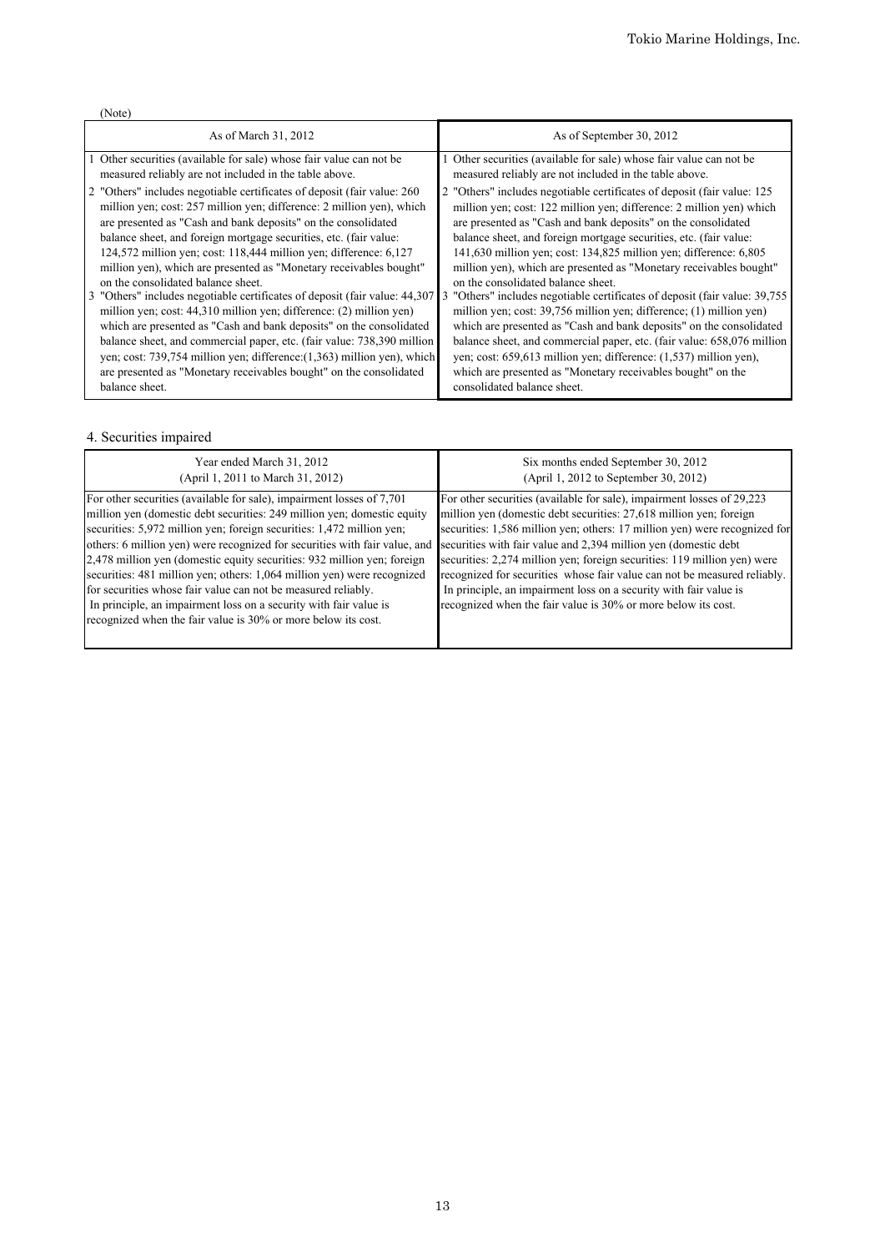|--|

| As of March 31, 2012                                                        | As of September 30, 2012                                                   |
|-----------------------------------------------------------------------------|----------------------------------------------------------------------------|
| 1 Other securities (available for sale) whose fair value can not be         | Other securities (available for sale) whose fair value can not be          |
| measured reliably are not included in the table above.                      | measured reliably are not included in the table above.                     |
| 2 "Others" includes negotiable certificates of deposit (fair value: 260)    | 2 "Others" includes negotiable certificates of deposit (fair value: 125    |
| million yen; cost: 257 million yen; difference: 2 million yen), which       | million yen; cost: 122 million yen; difference: 2 million yen) which       |
| are presented as "Cash and bank deposits" on the consolidated               | are presented as "Cash and bank deposits" on the consolidated              |
| balance sheet, and foreign mortgage securities, etc. (fair value:           | balance sheet, and foreign mortgage securities, etc. (fair value:          |
| 124,572 million yen; cost: $118,444$ million yen; difference: $6,127$       | 141,630 million yen; cost: 134,825 million yen; difference: 6,805          |
| million yen), which are presented as "Monetary receivables bought"          | million yen), which are presented as "Monetary receivables bought"         |
| on the consolidated balance sheet.                                          | on the consolidated balance sheet.                                         |
| 3 "Others" includes negotiable certificates of deposit (fair value: 44,307) | 3 "Others" includes negotiable certificates of deposit (fair value: 39,755 |
| million yen; cost: 44,310 million yen; difference: (2) million yen)         | million yen; cost: 39,756 million yen; difference; (1) million yen)        |
| which are presented as "Cash and bank deposits" on the consolidated         | which are presented as "Cash and bank deposits" on the consolidated        |
| balance sheet, and commercial paper, etc. (fair value: 738,390 million      | balance sheet, and commercial paper, etc. (fair value: 658,076 million     |
| yen; cost: 739,754 million yen; difference: (1,363) million yen), which     | yen; cost: $659,613$ million yen; difference: $(1,537)$ million yen),      |
| are presented as "Monetary receivables bought" on the consolidated          | which are presented as "Monetary receivables bought" on the                |
| balance sheet.                                                              | consolidated balance sheet.                                                |

# 4. Securities impaired

| Year ended March 31, 2012                                                                                                                                                                                                                                                                                                                                                                                                                                                                                                                                                                                                                                            | Six months ended September 30, 2012                                                                                                                                                                                                                                                                                                                                                                                                                                                                                                                                                          |
|----------------------------------------------------------------------------------------------------------------------------------------------------------------------------------------------------------------------------------------------------------------------------------------------------------------------------------------------------------------------------------------------------------------------------------------------------------------------------------------------------------------------------------------------------------------------------------------------------------------------------------------------------------------------|----------------------------------------------------------------------------------------------------------------------------------------------------------------------------------------------------------------------------------------------------------------------------------------------------------------------------------------------------------------------------------------------------------------------------------------------------------------------------------------------------------------------------------------------------------------------------------------------|
| (April 1, 2011 to March 31, 2012)                                                                                                                                                                                                                                                                                                                                                                                                                                                                                                                                                                                                                                    | (April 1, 2012 to September 30, 2012)                                                                                                                                                                                                                                                                                                                                                                                                                                                                                                                                                        |
| For other securities (available for sale), impairment losses of 7,701<br>million yen (domestic debt securities: 249 million yen; domestic equity<br>securities: 5,972 million yen; foreign securities: 1,472 million yen;<br>others: 6 million yen) were recognized for securities with fair value, and<br>2,478 million yen (domestic equity securities: 932 million yen; foreign<br>securities: 481 million yen; others: 1,064 million yen) were recognized<br>for securities whose fair value can not be measured reliably.<br>In principle, an impairment loss on a security with fair value is<br>recognized when the fair value is 30% or more below its cost. | For other securities (available for sale), impairment losses of 29,223<br>million yen (domestic debt securities: 27,618 million yen; foreign<br>securities: 1,586 million yen; others: 17 million yen) were recognized for<br>securities with fair value and 2,394 million yen (domestic debt)<br>securities: 2,274 million yen; foreign securities: 119 million yen) were<br>recognized for securities whose fair value can not be measured reliably.<br>In principle, an impairment loss on a security with fair value is<br>recognized when the fair value is 30% or more below its cost. |